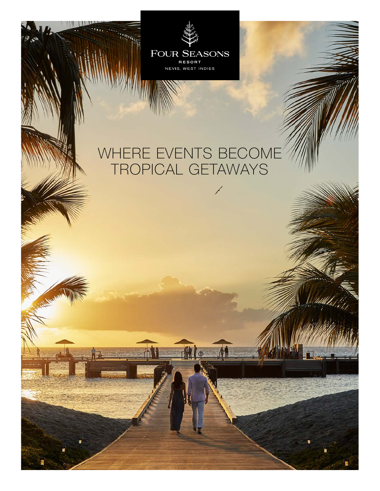

# WHERE EVENTS BECOME TROPICAL GETAWAYS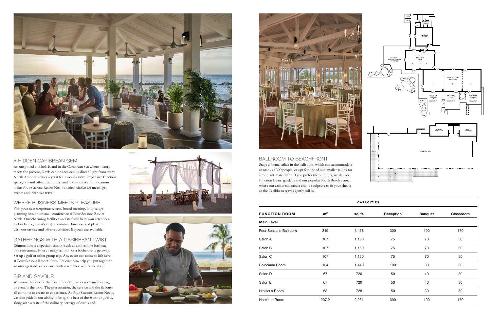

### A HIDDEN CARIBBEAN GEM

An unspoiled and lush island in the Caribbean Sea where history meets the present, Nevis can be accessed by direct flight from many North American cities – yet it feels worlds away. Expansive function space, on- and off-site activities, and luxurious accommodations make Four Seasons Resort Nevis an ideal choice for meetings, events and incentive travel.

#### WHERE BUSINESS MEETS PLEASURE

Plan your next corporate retreat, board meeting, long-range planning session or small conference at Four Seasons Resort Nevis. Our charming facilities and staff will help your attendees feel welcome, and it's easy to combine business and pleasure with our on-site and off-site activities. Buyouts are available.

### GATHERINGS WITH A CARIBBEAN TWIST

Commemorate a special occasion such as a milestone birthday or a retirement. Host a family reunion or a bachelorette getaway. Set up a golf or other group trip. Any event can come to life here at Four Seasons Resort Nevis. Let our team help you put together an unforgettable experience with warm Nevisian hospitality.

### SIP AND SAVOUR

We know that one of the most important aspects of any meeting or event is the food. The presentation, the service and the flavours all combine to create an experience. At Four Seasons Resort Nevis, we take pride in our ability to bring the best of these to our guests, along with a taste of the culinary heritage of our island.







where our artists can create a sand sculpture to fit your theme as the Caribbean waves gently roll in.

| <b>CAPACITIES</b>     |                |         |           |                |           |
|-----------------------|----------------|---------|-----------|----------------|-----------|
| <b>FUNCTION ROOM</b>  | m <sup>2</sup> | sq. ft. | Reception | <b>Banquet</b> | Classroom |
| <b>Main Level</b>     |                |         |           |                |           |
| Four Seasons Ballroom | 319            | 3,436   | 300       | 190            | 170       |
| Salon A               | 107            | 1,150   | 75        | 70             | 50        |
| Salon B               | 107            | 1,150   | 75        | 70             | 50        |
| Salon C               | 107            | 1,150   | 75        | 70             | 50        |
| Poinciana Room        | 134            | 1,440   | 100       | 80             | 80        |
| Salon D               | 67             | 720     | 50        | 40             | 30        |
| Salon E               | 67             | 720     | 50        | 40             | 30        |
| Hibiscus Room         | 68             | 728     | 50        | 30             | 30        |
| Hamilton Room         | 207.2          | 2,231   | 300       | 190            | 170       |